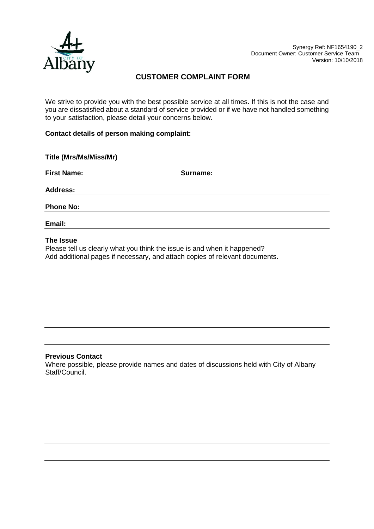

# **CUSTOMER COMPLAINT FORM**

We strive to provide you with the best possible service at all times. If this is not the case and you are dissatisfied about a standard of service provided or if we have not handled something to your satisfaction, please detail your concerns below.

## **Contact details of person making complaint:**

| Title (Mrs/Ms/Miss/Mr) |          |  |
|------------------------|----------|--|
| <b>First Name:</b>     | Surname: |  |
| <b>Address:</b>        |          |  |
| <b>Phone No:</b>       |          |  |
| Email:                 |          |  |

#### **The Issue**

Please tell us clearly what you think the issue is and when it happened? Add additional pages if necessary, and attach copies of relevant documents.

## **Previous Contact**

Where possible, please provide names and dates of discussions held with City of Albany Staff/Council.